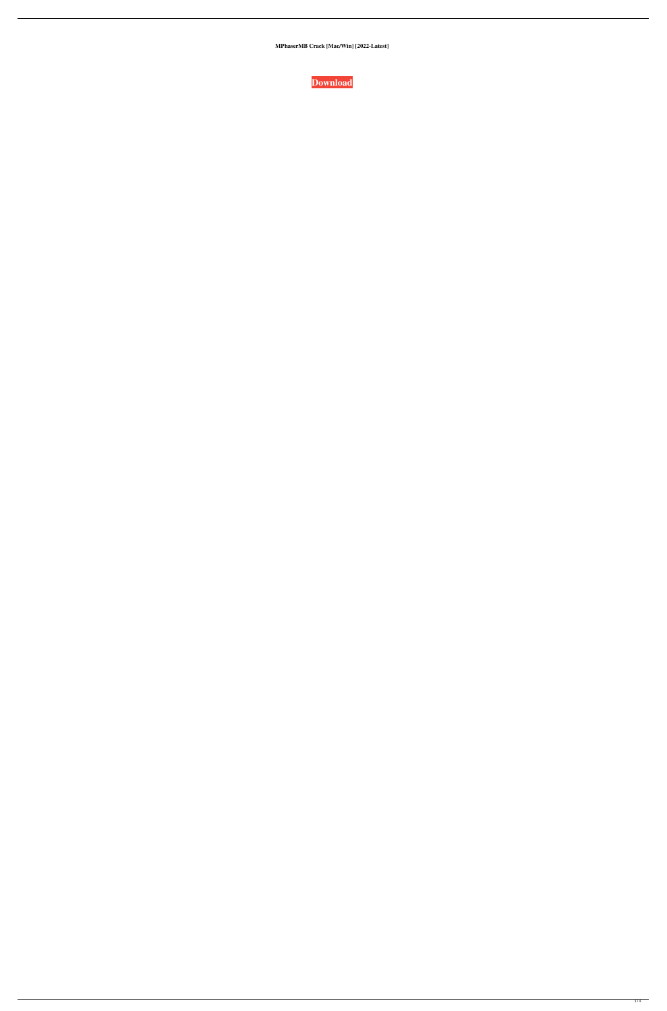**MPhaserMB Crack [Mac/Win] [2022-Latest]**

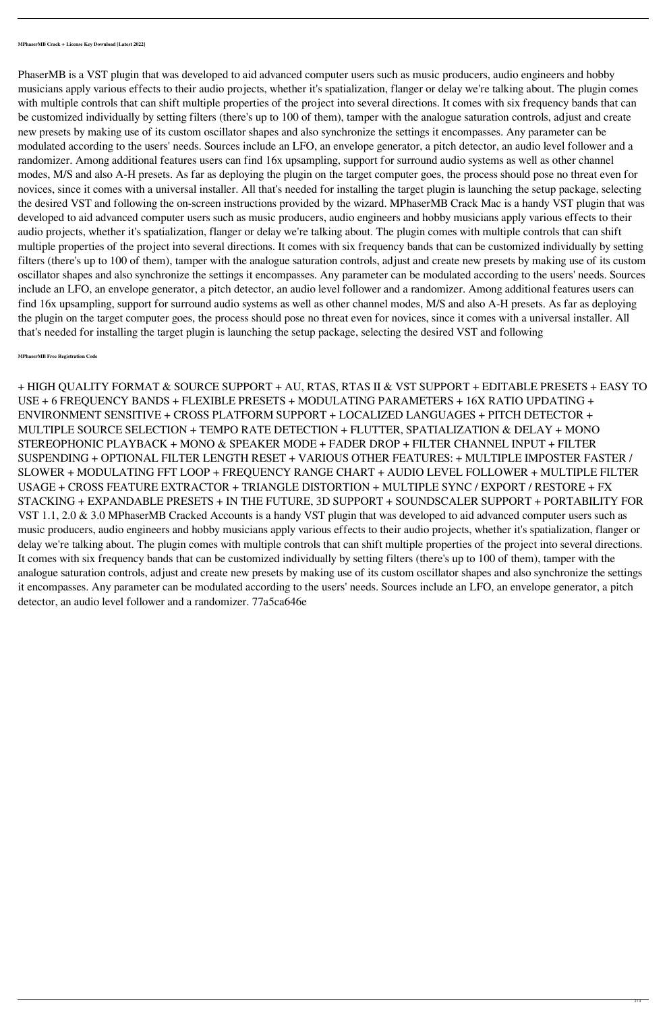PhaserMB is a VST plugin that was developed to aid advanced computer users such as music producers, audio engineers and hobby musicians apply various effects to their audio projects, whether it's spatialization, flanger or delay we're talking about. The plugin comes with multiple controls that can shift multiple properties of the project into several directions. It comes with six frequency bands that can be customized individually by setting filters (there's up to 100 of them), tamper with the analogue saturation controls, adjust and create new presets by making use of its custom oscillator shapes and also synchronize the settings it encompasses. Any parameter can be modulated according to the users' needs. Sources include an LFO, an envelope generator, a pitch detector, an audio level follower and a randomizer. Among additional features users can find 16x upsampling, support for surround audio systems as well as other channel modes, M/S and also A-H presets. As far as deploying the plugin on the target computer goes, the process should pose no threat even for novices, since it comes with a universal installer. All that's needed for installing the target plugin is launching the setup package, selecting the desired VST and following the on-screen instructions provided by the wizard. MPhaserMB Crack Mac is a handy VST plugin that was developed to aid advanced computer users such as music producers, audio engineers and hobby musicians apply various effects to their audio projects, whether it's spatialization, flanger or delay we're talking about. The plugin comes with multiple controls that can shift multiple properties of the project into several directions. It comes with six frequency bands that can be customized individually by setting filters (there's up to 100 of them), tamper with the analogue saturation controls, adjust and create new presets by making use of its custom oscillator shapes and also synchronize the settings it encompasses. Any parameter can be modulated according to the users' needs. Sources include an LFO, an envelope generator, a pitch detector, an audio level follower and a randomizer. Among additional features users can find 16x upsampling, support for surround audio systems as well as other channel modes, M/S and also A-H presets. As far as deploying the plugin on the target computer goes, the process should pose no threat even for novices, since it comes with a universal installer. All that's needed for installing the target plugin is launching the setup package, selecting the desired VST and following

+ HIGH QUALITY FORMAT & SOURCE SUPPORT + AU, RTAS, RTAS II & VST SUPPORT + EDITABLE PRESETS + EASY TO USE + 6 FREQUENCY BANDS + FLEXIBLE PRESETS + MODULATING PARAMETERS + 16X RATIO UPDATING + ENVIRONMENT SENSITIVE + CROSS PLATFORM SUPPORT + LOCALIZED LANGUAGES + PITCH DETECTOR + MULTIPLE SOURCE SELECTION + TEMPO RATE DETECTION + FLUTTER, SPATIALIZATION & DELAY + MONO STEREOPHONIC PLAYBACK + MONO & SPEAKER MODE + FADER DROP + FILTER CHANNEL INPUT + FILTER SUSPENDING + OPTIONAL FILTER LENGTH RESET + VARIOUS OTHER FEATURES: + MULTIPLE IMPOSTER FASTER / SLOWER + MODULATING FFT LOOP + FREQUENCY RANGE CHART + AUDIO LEVEL FOLLOWER + MULTIPLE FILTER USAGE + CROSS FEATURE EXTRACTOR + TRIANGLE DISTORTION + MULTIPLE SYNC / EXPORT / RESTORE + FX STACKING + EXPANDABLE PRESETS + IN THE FUTURE, 3D SUPPORT + SOUNDSCALER SUPPORT + PORTABILITY FOR VST 1.1, 2.0 & 3.0 MPhaserMB Cracked Accounts is a handy VST plugin that was developed to aid advanced computer users such as music producers, audio engineers and hobby musicians apply various effects to their audio projects, whether it's spatialization, flanger or delay we're talking about. The plugin comes with multiple controls that can shift multiple properties of the project into several directions. It comes with six frequency bands that can be customized individually by setting filters (there's up to 100 of them), tamper with the analogue saturation controls, adjust and create new presets by making use of its custom oscillator shapes and also synchronize the settings it encompasses. Any parameter can be modulated according to the users' needs. Sources include an LFO, an envelope generator, a pitch detector, an audio level follower and a randomizer. 77a5ca646e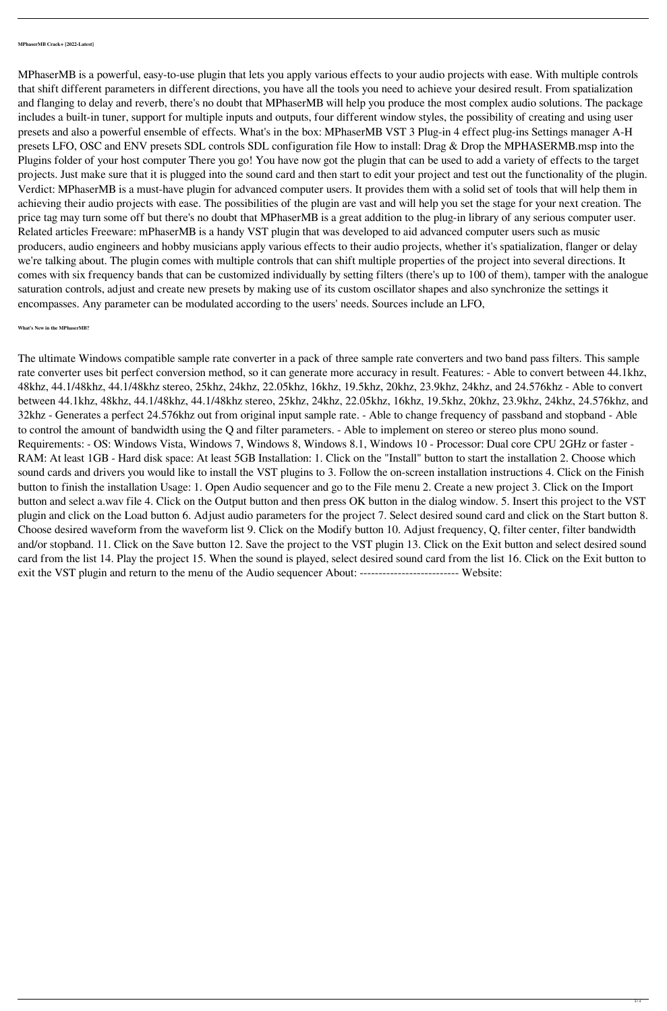**MPhaserMB Crack+ [2022-Latest]**

MPhaserMB is a powerful, easy-to-use plugin that lets you apply various effects to your audio projects with ease. With multiple controls that shift different parameters in different directions, you have all the tools you need to achieve your desired result. From spatialization and flanging to delay and reverb, there's no doubt that MPhaserMB will help you produce the most complex audio solutions. The package includes a built-in tuner, support for multiple inputs and outputs, four different window styles, the possibility of creating and using user presets and also a powerful ensemble of effects. What's in the box: MPhaserMB VST 3 Plug-in 4 effect plug-ins Settings manager A-H presets LFO, OSC and ENV presets SDL controls SDL configuration file How to install: Drag & Drop the MPHASERMB.msp into the Plugins folder of your host computer There you go! You have now got the plugin that can be used to add a variety of effects to the target projects. Just make sure that it is plugged into the sound card and then start to edit your project and test out the functionality of the plugin. Verdict: MPhaserMB is a must-have plugin for advanced computer users. It provides them with a solid set of tools that will help them in achieving their audio projects with ease. The possibilities of the plugin are vast and will help you set the stage for your next creation. The price tag may turn some off but there's no doubt that MPhaserMB is a great addition to the plug-in library of any serious computer user. Related articles Freeware: mPhaserMB is a handy VST plugin that was developed to aid advanced computer users such as music producers, audio engineers and hobby musicians apply various effects to their audio projects, whether it's spatialization, flanger or delay we're talking about. The plugin comes with multiple controls that can shift multiple properties of the project into several directions. It comes with six frequency bands that can be customized individually by setting filters (there's up to 100 of them), tamper with the analogue saturation controls, adjust and create new presets by making use of its custom oscillator shapes and also synchronize the settings it encompasses. Any parameter can be modulated according to the users' needs. Sources include an LFO,

48khz, 44.1/48khz, 44.1/48khz stereo, 25khz, 24khz, 22.05khz, 16khz, 19.5khz, 20khz, 23.9khz, 24khz, and 24.576khz - Able to convert between 44.1khz, 48khz, 44.1/48khz, 44.1/48khz stereo, 25khz, 24khz, 22.05khz, 16khz, 19.5khz, 20khz, 23.9khz, 24khz, 24.576khz, and 32khz - Generates a perfect 24.576khz out from original input sample rate. - Able to change frequency of passband and stopband - Able to control the amount of bandwidth using the Q and filter parameters. - Able to implement on stereo or stereo plus mono sound. Requirements: - OS: Windows Vista, Windows 7, Windows 8, Windows 8.1, Windows 10 - Processor: Dual core CPU 2GHz or faster - RAM: At least 1GB - Hard disk space: At least 5GB Installation: 1. Click on the "Install" button to start the installation 2. Choose which sound cards and drivers you would like to install the VST plugins to 3. Follow the on-screen installation instructions 4. Click on the Finish button to finish the installation Usage: 1. Open Audio sequencer and go to the File menu 2. Create a new project 3. Click on the Import button and select a.wav file 4. Click on the Output button and then press OK button in the dialog window. 5. Insert this project to the VST plugin and click on the Load button 6. Adjust audio parameters for the project 7. Select desired sound card and click on the Start button 8. Choose desired waveform from the waveform list 9. Click on the Modify button 10. Adjust frequency, Q, filter center, filter bandwidth and/or stopband. 11. Click on the Save button 12. Save the project to the VST plugin 13. Click on the Exit button and select desired sound card from the list 14. Play the project 15. When the sound is played, select desired sound card from the list 16. Click on the Exit button to exit the VST plugin and return to the menu of the Audio sequencer About: --------------------------------- Website:

## **What's New in the MPhaserMB?**

The ultimate Windows compatible sample rate converter in a pack of three sample rate converters and two band pass filters. This sample rate converter uses bit perfect conversion method, so it can generate more accuracy in result. Features: - Able to convert between 44.1khz,